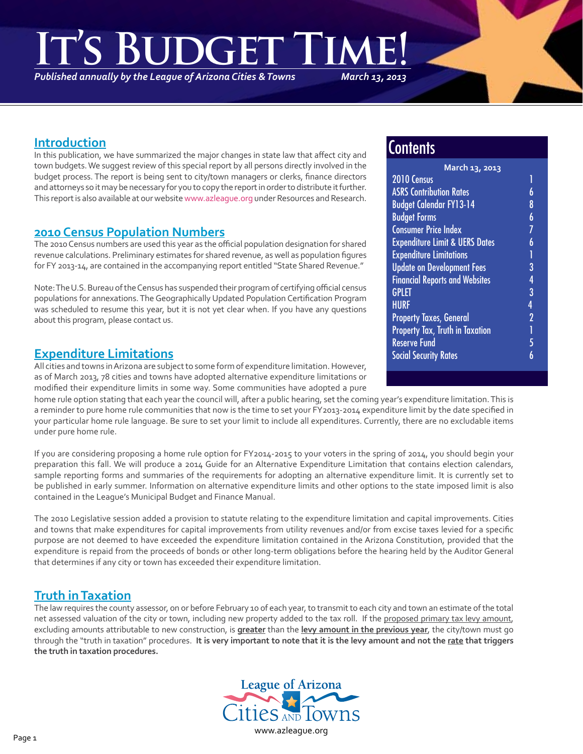# **It's Budget Time!**

*Published annually by the League of Arizona Cities & Towns*

*March 13, 2013*

# **Introduction**

In this publication, we have summarized the major changes in state law that affect city and town budgets. We suggest review of this special report by all persons directly involved in the budget process. The report is being sent to city/town managers or clerks, finance directors and attorneys so it may be necessary for you to copy the report in order to distribute it further. This report is also available at our website [www.azleague.org](http://www.azleague.org) under Resources and Research.

## **2010 Census Population Numbers**

The 2010 Census numbers are used this year as the official population designation for shared revenue calculations. Preliminary estimates for shared revenue, as well as population figures for FY 2013-14, are contained in the accompanying report entitled "State Shared Revenue."

Note: The U.S. Bureau of the Census has suspended their program of certifying official census populations for annexations. The Geographically Updated Population Certification Program was scheduled to resume this year, but it is not yet clear when. If you have any questions about this program, please contact us.

# **Expenditure Limitations**

All cities and towns in Arizona are subject to some form of expenditure limitation. However, as of March 2013, 78 cities and towns have adopted alternative expenditure limitations or modified their expenditure limits in some way. Some communities have adopted a pure

home rule option stating that each year the council will, after a public hearing, set the coming year's expenditure limitation. This is a reminder to pure home rule communities that now is the time to set your FY2013-2014 expenditure limit by the date specified in your particular home rule language. Be sure to set your limit to include all expenditures. Currently, there are no excludable items under pure home rule.

If you are considering proposing a home rule option for FY2014-2015 to your voters in the spring of 2014, you should begin your preparation this fall. We will produce a 2014 Guide for an Alternative Expenditure Limitation that contains election calendars, sample reporting forms and summaries of the requirements for adopting an alternative expenditure limit. It is currently set to be published in early summer. Information on alternative expenditure limits and other options to the state imposed limit is also contained in the League's Municipal Budget and Finance Manual.

The 2010 Legislative session added a provision to statute relating to the expenditure limitation and capital improvements. Cities and towns that make expenditures for capital improvements from utility revenues and/or from excise taxes levied for a specific purpose are not deemed to have exceeded the expenditure limitation contained in the Arizona Constitution, provided that the expenditure is repaid from the proceeds of bonds or other long-term obligations before the hearing held by the Auditor General that determines if any city or town has exceeded their expenditure limitation.

# **Truth in Taxation**

The law requires the county assessor, on or before February 10 of each year, to transmit to each city and town an estimate of the total net assessed valuation of the city or town, including new property added to the tax roll. If the proposed primary tax levy amount, excluding amounts attributable to new construction, is **greater** than the **levy amount in the previous year**, the city/town must go through the "truth in taxation" procedures. **It is very important to note that it is the levy amount and not the rate that triggers the truth in taxation procedures.** 



# **Contents**

| March 13, 2013                            |                |  |
|-------------------------------------------|----------------|--|
| 2010 Census                               | 1              |  |
| <b>ASRS Contribution Rates</b>            | 6              |  |
| <b>Budget Calendar FY13-14</b>            | 8              |  |
| <b>Budget Forms</b>                       | 6              |  |
| <b>Consumer Price Index</b>               | 7              |  |
| <b>Expenditure Limit &amp; UERS Dates</b> | 6              |  |
| <b>Expenditure Limitations</b>            |                |  |
| <b>Update on Development Fees</b>         | 3              |  |
| <b>Financial Reports and Websites</b>     | 4              |  |
| GPLET                                     | $\overline{3}$ |  |
| HURF                                      | 4              |  |
| <b>Property Taxes, General</b>            | $\overline{2}$ |  |
| Property Tax, Truth in Taxation           |                |  |
| <b>Reserve Fund</b>                       | 5              |  |
| <b>Social Security Rates</b>              |                |  |
|                                           |                |  |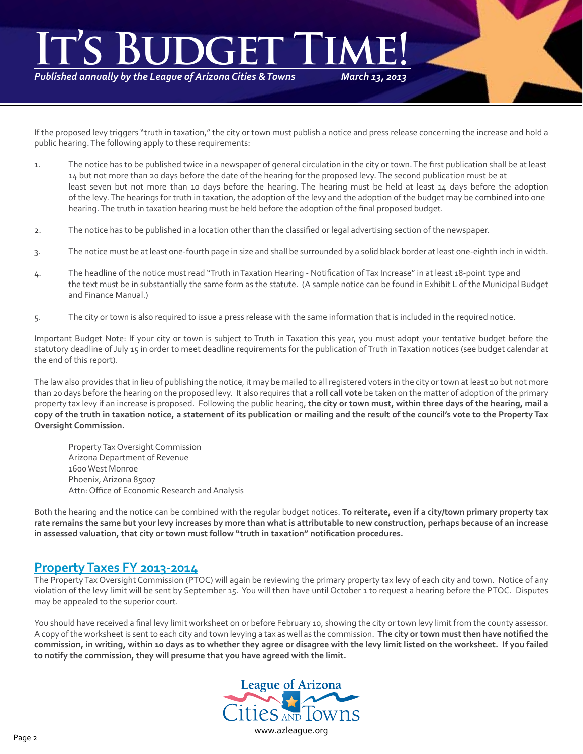# *March 13, 2013* **DGET**

*Published annually by the League of Arizona Cities & Towns*

If the proposed levy triggers "truth in taxation," the city or town must publish a notice and press release concerning the increase and hold a public hearing. The following apply to these requirements:

- 1. The notice has to be published twice in a newspaper of general circulation in the city or town. The first publication shall be at least 14 but not more than 20 days before the date of the hearing for the proposed levy. The second publication must be at least seven but not more than 10 days before the hearing. The hearing must be held at least 14 days before the adoption of the levy. The hearings for truth in taxation, the adoption of the levy and the adoption of the budget may be combined into one hearing. The truth in taxation hearing must be held before the adoption of the final proposed budget.
- 2. The notice has to be published in a location other than the classified or legal advertising section of the newspaper.
- 3. The notice must be at least one-fourth page in size and shall be surrounded by a solid black border at least one-eighth inch in width.
- 4. The headline of the notice must read "Truth in Taxation Hearing Notification of Tax Increase" in at least 18-point type and the text must be in substantially the same form as the statute. (A sample notice can be found in Exhibit L of the Municipal Budget and Finance Manual.)
- 5. The city or town is also required to issue a press release with the same information that is included in the required notice.

Important Budget Note: If your city or town is subject to Truth in Taxation this year, you must adopt your tentative budget before the statutory deadline of July 15 in order to meet deadline requirements for the publication of Truth in Taxation notices (see budget calendar at the end of this report).

The law also provides that in lieu of publishing the notice, it may be mailed to all registered voters in the city or town at least 10 but not more than 20 days before the hearing on the proposed levy. It also requires that a **roll call vote** be taken on the matter of adoption of the primary property tax levy if an increase is proposed. Following the public hearing, **the city or town must, within three days of the hearing, mail a copy of the truth in taxation notice, a statement of its publication or mailing and the result of the council's vote to the Property Tax Oversight Commission.**

Property Tax Oversight Commission Arizona Department of Revenue 1600 West Monroe Phoenix, Arizona 85007 Attn: Office of Economic Research and Analysis

Both the hearing and the notice can be combined with the regular budget notices. **To reiterate, even if a city/town primary property tax rate remains the same but your levy increases by more than what is attributable to new construction, perhaps because of an increase in assessed valuation, that city or town must follow "truth in taxation" notification procedures.**

### **Property Taxes FY 2013-2014**

The Property Tax Oversight Commission (PTOC) will again be reviewing the primary property tax levy of each city and town. Notice of any violation of the levy limit will be sent by September 15. You will then have until October 1 to request a hearing before the PTOC. Disputes may be appealed to the superior court.

You should have received a final levy limit worksheet on or before February 10, showing the city or town levy limit from the county assessor. A copy of the worksheet is sent to each city and town levying a tax as well as the commission. **The city or town must then have notified the commission, in writing, within 10 days as to whether they agree or disagree with the levy limit listed on the worksheet. If you failed to notify the commission, they will presume that you have agreed with the limit.**

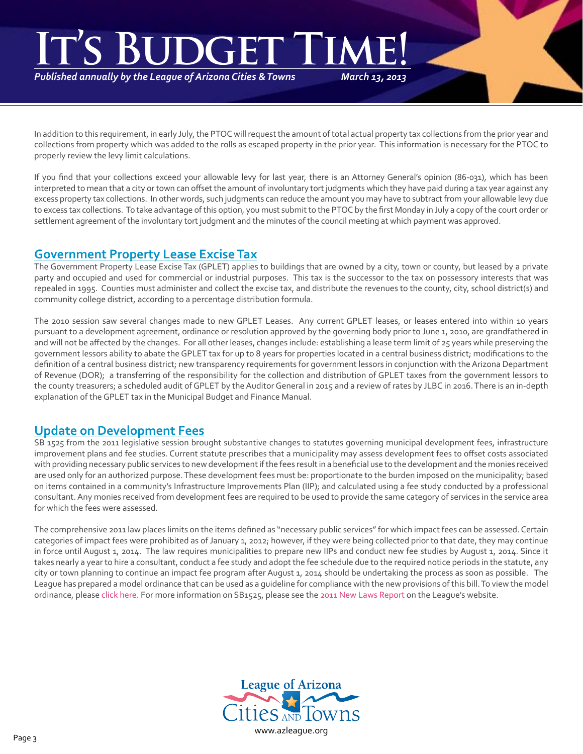# *March 13, 2013* **It's Budget Time!**

*Published annually by the League of Arizona Cities & Towns*

In addition to this requirement, in early July, the PTOC will request the amount of total actual property tax collections from the prior year and collections from property which was added to the rolls as escaped property in the prior year. This information is necessary for the PTOC to properly review the levy limit calculations.

If you find that your collections exceed your allowable levy for last year, there is an Attorney General's opinion (86-031), which has been interpreted to mean that a city or town can offset the amount of involuntary tort judgments which they have paid during a tax year against any excess property tax collections. In other words, such judgments can reduce the amount you may have to subtract from your allowable levy due to excess tax collections. To take advantage of this option, you must submit to the PTOC by the first Monday in July a copy of the court order or settlement agreement of the involuntary tort judgment and the minutes of the council meeting at which payment was approved.

# **Government Property Lease Excise Tax**

The Government Property Lease Excise Tax (GPLET) applies to buildings that are owned by a city, town or county, but leased by a private party and occupied and used for commercial or industrial purposes. This tax is the successor to the tax on possessory interests that was repealed in 1995. Counties must administer and collect the excise tax, and distribute the revenues to the county, city, school district(s) and community college district, according to a percentage distribution formula.

The 2010 session saw several changes made to new GPLET Leases. Any current GPLET leases, or leases entered into within 10 years pursuant to a development agreement, ordinance or resolution approved by the governing body prior to June 1, 2010, are grandfathered in and will not be affected by the changes. For all other leases, changes include: establishing a lease term limit of 25 years while preserving the government lessors ability to abate the GPLET tax for up to 8 years for properties located in a central business district; modifications to the definition of a central business district; new transparency requirements for government lessors in conjunction with the Arizona Department of Revenue (DOR); a transferring of the responsibility for the collection and distribution of GPLET taxes from the government lessors to the county treasurers; a scheduled audit of GPLET by the Auditor General in 2015 and a review of rates by JLBC in 2016. There is an in-depth explanation of the GPLET tax in the Municipal Budget and Finance Manual.

# **Update on Development Fees**

SB 1525 from the 2011 legislative session brought substantive changes to statutes governing municipal development fees, infrastructure improvement plans and fee studies. Current statute prescribes that a municipality may assess development fees to offset costs associated with providing necessary public services to new development if the fees result in a beneficial use to the development and the monies received are used only for an authorized purpose. These development fees must be: proportionate to the burden imposed on the municipality; based on items contained in a community's Infrastructure Improvements Plan (IIP); and calculated using a fee study conducted by a professional consultant. Any monies received from development fees are required to be used to provide the same category of services in the service area for which the fees were assessed.

The comprehensive 2011 law places limits on the items defined as "necessary public services" for which impact fees can be assessed. Certain categories of impact fees were prohibited as of January 1, 2012; however, if they were being collected prior to that date, they may continue in force until August 1, 2014. The law requires municipalities to prepare new IIPs and conduct new fee studies by August 1, 2014. Since it takes nearly a year to hire a consultant, conduct a fee study and adopt the fee schedule due to the required notice periods in the statute, any city or town planning to continue an impact fee program after August 1, 2014 should be undertaking the process as soon as possible. The League has prepared a model ordinance that can be used as a guideline for compliance with the new provisions of this bill. To view the model ordinance, please [click here.](http://az-lact.civicplus.com/DocumentView.aspx?DID=190) For more information on SB1525, please see the [2011 New Laws Report](http://az-lact.civicplus.com/DocumentView.aspx?DID=5) on the League's website.

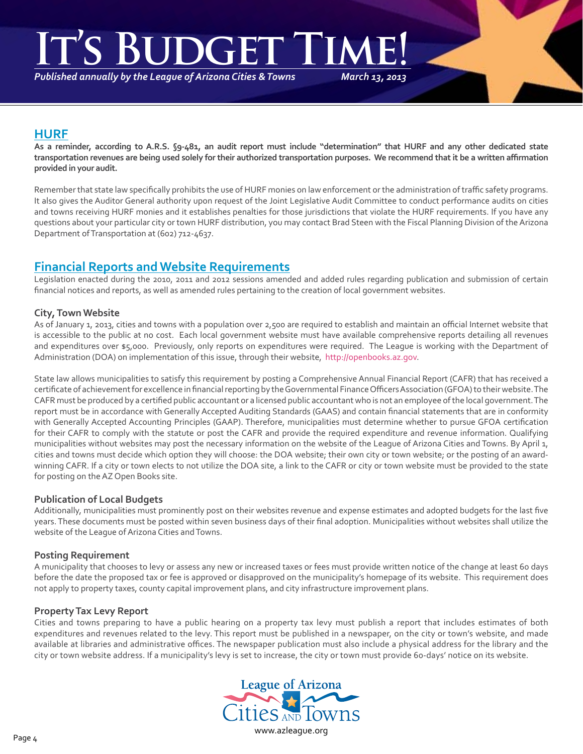# **It's Budget Time!**

*Published annually by the League of Arizona Cities & Towns*

*March 13, 2013*

# **HURF**

**As a reminder, according to A.R.S. §9-481, an audit report must include "determination" that HURF and any other dedicated state transportation revenues are being used solely for their authorized transportation purposes. We recommend that it be a written affirmation provided in your audit.**

Remember that state law specifically prohibits the use of HURF monies on law enforcement or the administration of traffic safety programs. It also gives the Auditor General authority upon request of the Joint Legislative Audit Committee to conduct performance audits on cities and towns receiving HURF monies and it establishes penalties for those jurisdictions that violate the HURF requirements. If you have any questions about your particular city or town HURF distribution, you may contact Brad Steen with the Fiscal Planning Division of the Arizona Department of Transportation at (602) 712-4637.

## **Financial Reports and Website Requirements**

Legislation enacted during the 2010, 2011 and 2012 sessions amended and added rules regarding publication and submission of certain financial notices and reports, as well as amended rules pertaining to the creation of local government websites.

#### **City, Town Website**

As of January 1, 2013, cities and towns with a population over 2,500 are required to establish and maintain an official Internet website that is accessible to the public at no cost. Each local government website must have available comprehensive reports detailing all revenues and expenditures over \$5,000. Previously, only reports on expenditures were required. The League is working with the Department of Administration (DOA) on implementation of this issue, through their website, http://openbooks.az.gov.

State law allows municipalities to satisfy this requirement by posting a Comprehensive Annual Financial Report (CAFR) that has received a certificate of achievement for excellence in financial reporting by the Governmental Finance Officers Association (GFOA) to their website. The CAFR must be produced by a certified public accountant or a licensed public accountant who is not an employee of the local government. The report must be in accordance with Generally Accepted Auditing Standards (GAAS) and contain financial statements that are in conformity with Generally Accepted Accounting Principles (GAAP). Therefore, municipalities must determine whether to pursue GFOA certification for their CAFR to comply with the statute or post the CAFR and provide the required expenditure and revenue information. Qualifying municipalities without websites may post the necessary information on the website of the League of Arizona Cities and Towns. By April 1, cities and towns must decide which option they will choose: the DOA website; their own city or town website; or the posting of an awardwinning CAFR. If a city or town elects to not utilize the DOA site, a link to the CAFR or city or town website must be provided to the state for posting on the AZ Open Books site.

#### **Publication of Local Budgets**

Additionally, municipalities must prominently post on their websites revenue and expense estimates and adopted budgets for the last five years. These documents must be posted within seven business days of their final adoption. Municipalities without websites shall utilize the website of the League of Arizona Cities and Towns.

#### **Posting Requirement**

A municipality that chooses to levy or assess any new or increased taxes or fees must provide written notice of the change at least 60 days before the date the proposed tax or fee is approved or disapproved on the municipality's homepage of its website. This requirement does not apply to property taxes, county capital improvement plans, and city infrastructure improvement plans.

#### **Property Tax Levy Report**

Cities and towns preparing to have a public hearing on a property tax levy must publish a report that includes estimates of both expenditures and revenues related to the levy. This report must be published in a newspaper, on the city or town's website, and made available at libraries and administrative offices. The newspaper publication must also include a physical address for the library and the city or town website address. If a municipality's levy is set to increase, the city or town must provide 60-days' notice on its website.

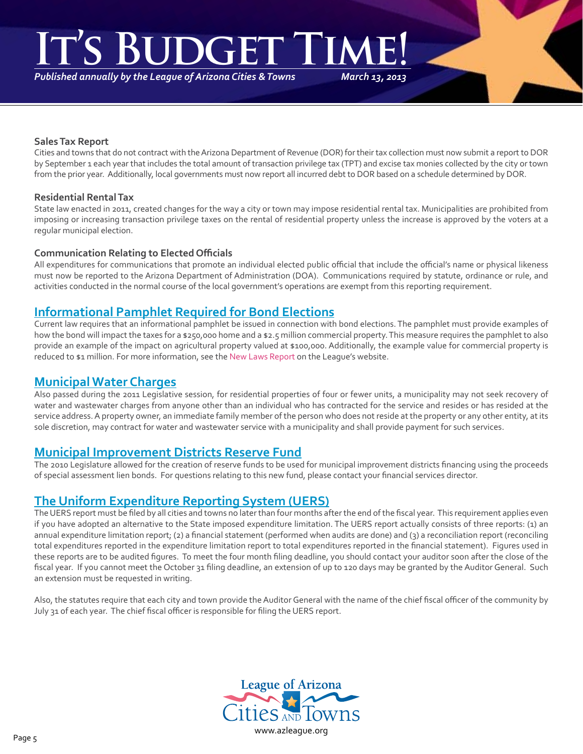# **IS BUDGET TI**

*Published annually by the League of Arizona Cities & Towns*

*March 13, 2013*

#### **Sales Tax Report**

Cities and towns that do not contract with the Arizona Department of Revenue (DOR) for their tax collection must now submit a report to DOR by September 1 each year that includes the total amount of transaction privilege tax (TPT) and excise tax monies collected by the city or town from the prior year. Additionally, local governments must now report all incurred debt to DOR based on a schedule determined by DOR.

#### **Residential Rental Tax**

State law enacted in 2011, created changes for the way a city or town may impose residential rental tax. Municipalities are prohibited from imposing or increasing transaction privilege taxes on the rental of residential property unless the increase is approved by the voters at a regular municipal election.

#### **Communication Relating to Elected Officials**

All expenditures for communications that promote an individual elected public official that include the official's name or physical likeness must now be reported to the Arizona Department of Administration (DOA). Communications required by statute, ordinance or rule, and activities conducted in the normal course of the local government's operations are exempt from this reporting requirement.

### **Informational Pamphlet Required for Bond Elections**

Current law requires that an informational pamphlet be issued in connection with bond elections. The pamphlet must provide examples of how the bond will impact the taxes for a \$250,000 home and a \$2.5 million commercial property. This measure requires the pamphlet to also provide an example of the impact on agricultural property valued at \$100,000. Additionally, the example value for commercial property is reduced to \$1 million. For more information, see the [New Laws Report](http://az-lact.civicplus.com/DocumentView.aspx?DID=5) on the League's website.

# **Municipal Water Charges**

Also passed during the 2011 Legislative session, for residential properties of four or fewer units, a municipality may not seek recovery of water and wastewater charges from anyone other than an individual who has contracted for the service and resides or has resided at the service address. A property owner, an immediate family member of the person who does not reside at the property or any other entity, at its sole discretion, may contract for water and wastewater service with a municipality and shall provide payment for such services.

### **Municipal Improvement Districts Reserve Fund**

The 2010 Legislature allowed for the creation of reserve funds to be used for municipal improvement districts financing using the proceeds of special assessment lien bonds. For questions relating to this new fund, please contact your financial services director.

# **The Uniform Expenditure Reporting System (UERS)**

The UERS report must be filed by all cities and towns no later than four months after the end of the fiscal year. This requirement applies even if you have adopted an alternative to the State imposed expenditure limitation. The UERS report actually consists of three reports: (1) an annual expenditure limitation report; (2) a financial statement (performed when audits are done) and (3) a reconciliation report (reconciling total expenditures reported in the expenditure limitation report to total expenditures reported in the financial statement). Figures used in these reports are to be audited figures. To meet the four month filing deadline, you should contact your auditor soon after the close of the fiscal year. If you cannot meet the October 31 filing deadline, an extension of up to 120 days may be granted by the Auditor General. Such an extension must be requested in writing.

Also, the statutes require that each city and town provide the Auditor General with the name of the chief fiscal officer of the community by July 31 of each year. The chief fiscal officer is responsible for filing the UERS report.

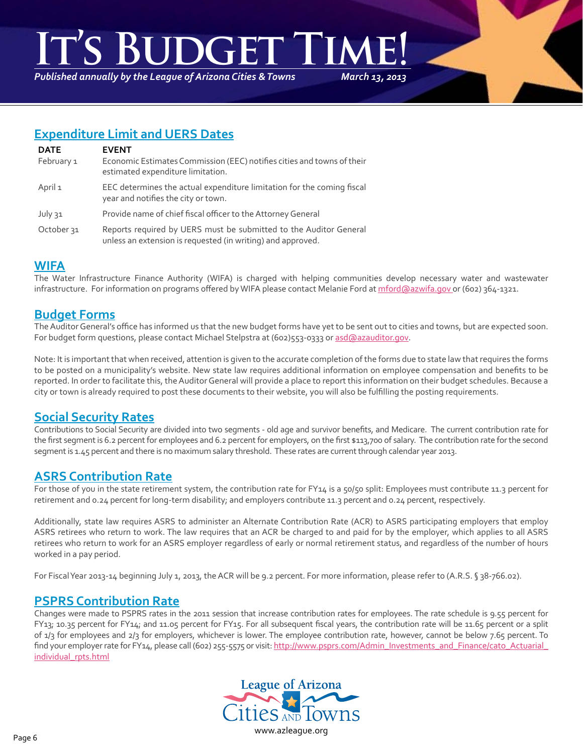# **IS BUDGET TIM**

*Published annually by the League of Arizona Cities & Towns*

*March 13, 2013*

# **Expenditure Limit and UERS Dates**

| <b>DATE</b><br>February 1 | <b>EVENT</b><br>Economic Estimates Commission (EEC) notifies cities and towns of their<br>estimated expenditure limitation.      |
|---------------------------|----------------------------------------------------------------------------------------------------------------------------------|
| April 1                   | EEC determines the actual expenditure limitation for the coming fiscal<br>year and notifies the city or town.                    |
| July 31                   | Provide name of chief fiscal officer to the Attorney General                                                                     |
| October <sub>31</sub>     | Reports required by UERS must be submitted to the Auditor General<br>unless an extension is requested (in writing) and approved. |

## **WIFA**

The Water Infrastructure Finance Authority (WIFA) is charged with helping communities develop necessary water and wastewater infrastructure. For information on programs offered by WIFA please contact Melanie Ford at mford@azwifa.gov or (602) 364-1321.

## **Budget Forms**

The Auditor General's office has informed us that the new budget forms have yet to be sent out to cities and towns, but are expected soon. For budget form questions, please contact Michael Stelpstra at (602)553-0333 or asd@azauditor.gov.

Note: It is important that when received, attention is given to the accurate completion of the forms due to state law that requires the forms to be posted on a municipality's website. New state law requires additional information on employee compensation and benefits to be reported. In order to facilitate this, the Auditor General will provide a place to report this information on their budget schedules. Because a city or town is already required to post these documents to their website, you will also be fulfilling the posting requirements.

# **Social Security Rates**

Contributions to Social Security are divided into two segments - old age and survivor benefits, and Medicare. The current contribution rate for the first segment is 6.2 percent for employees and 6.2 percent for employers, on the first \$113,700 of salary. The contribution rate for the second segment is 1.45 percent and there is no maximum salary threshold. These rates are current through calendar year 2013.

# **ASRS Contribution Rate**

For those of you in the state retirement system, the contribution rate for FY14 is a 50/50 split: Employees must contribute 11.3 percent for retirement and 0.24 percent for long-term disability; and employers contribute 11.3 percent and 0.24 percent, respectively.

Additionally, state law requires ASRS to administer an Alternate Contribution Rate (ACR) to ASRS participating employers that employ ASRS retirees who return to work. The law requires that an ACR be charged to and paid for by the employer, which applies to all ASRS retirees who return to work for an ASRS employer regardless of early or normal retirement status, and regardless of the number of hours worked in a pay period.

For Fiscal Year 2013-14 beginning July 1, 2013, the ACR will be 9.2 percent. For more information, please refer to (A.R.S. § 38-766.02).

# **PSPRS Contribution Rate**

Changes were made to PSPRS rates in the 2011 session that increase contribution rates for employees. The rate schedule is 9.55 percent for FY13; 10.35 percent for FY14; and 11.05 percent for FY15. For all subsequent fiscal years, the contribution rate will be 11.65 percent or a split of 1/3 for employees and 2/3 for employers, whichever is lower. The employee contribution rate, however, cannot be below 7.65 percent. To find your employer rate for FY14, please call (602) 255-5575 or visit[: h](http://www.psprs.com/Admin_Investments_and_Finance/cato_Actuarial_individual_rpts.html)[ttp://www.psprs.com/Admin\\_Investments\\_and\\_Finance/cato\\_Actuarial](http://www.psprs.com/Admin_Investments_and_Finance/cato_Actuarial_individual_rpts.html
)[\\_](http://www.psprs.com/Admin_Investments_and_Finance/cato_Actuarial_individual_rpts.html) [individual\\_rpts.html](http://www.psprs.com/Admin_Investments_and_Finance/cato_Actuarial_individual_rpts.html
)

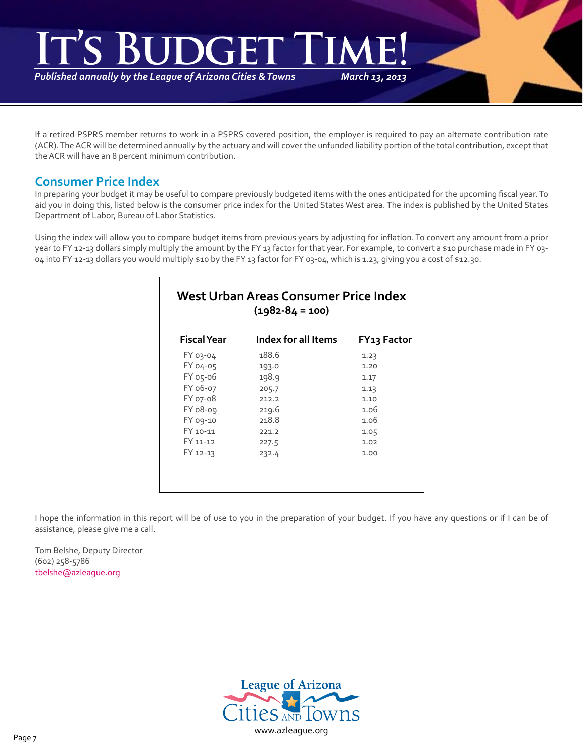# *March 13, 2013* **It's Budget Time!**

*Published annually by the League of Arizona Cities & Towns*

If a retired PSPRS member returns to work in a PSPRS covered position, the employer is required to pay an alternate contribution rate (ACR). The ACR will be determined annually by the actuary and will cover the unfunded liability portion of the total contribution, except that the ACR will have an 8 percent minimum contribution.

# **Consumer Price Index**

In preparing your budget it may be useful to compare previously budgeted items with the ones anticipated for the upcoming fiscal year. To aid you in doing this, listed below is the consumer price index for the United States West area. The index is published by the United States Department of Labor, Bureau of Labor Statistics.

Using the index will allow you to compare budget items from previous years by adjusting for inflation. To convert any amount from a prior year to FY 12-13 dollars simply multiply the amount by the FY 13 factor for that year. For example, to convert a \$10 purchase made in FY 03- 04 into FY 12-13 dollars you would multiply \$10 by the FY 13 factor for FY 03-04, which is 1.23, giving you a cost of \$12.30.

| West Urban Areas Consumer Price Index<br>$(1982 - 84 = 100)$ |                     |                    |  |  |  |
|--------------------------------------------------------------|---------------------|--------------------|--|--|--|
| <b>Fiscal Year</b>                                           | Index for all Items | <b>FY13 Factor</b> |  |  |  |
| <b>FY 03-04</b>                                              | 188.6               | 1.23               |  |  |  |
| FY 04-05                                                     | 193.0               | 1.20               |  |  |  |
| FY 05-06                                                     | 198.9               | 1.17               |  |  |  |
| FY 06-07                                                     | 205.7               | 1.13               |  |  |  |
| FY 07-08                                                     | 212.2               | 1.10               |  |  |  |
| FY 08-09                                                     | 219.6               | 1.06               |  |  |  |
| FY 09-10                                                     | 218.8               | 1.06               |  |  |  |
| FY 10-11                                                     | 221.2               | 1.05               |  |  |  |
| FY 11-12                                                     | 227.5               | 1.02               |  |  |  |
| FY 12-13                                                     | 232.4               | 1.00               |  |  |  |
|                                                              |                     |                    |  |  |  |

I hope the information in this report will be of use to you in the preparation of your budget. If you have any questions or if I can be of assistance, please give me a call.

Tom Belshe, Deputy Director (602) 258-5786 [tbelshe@azleague.org](mailto:tbelshe@azleague.org)